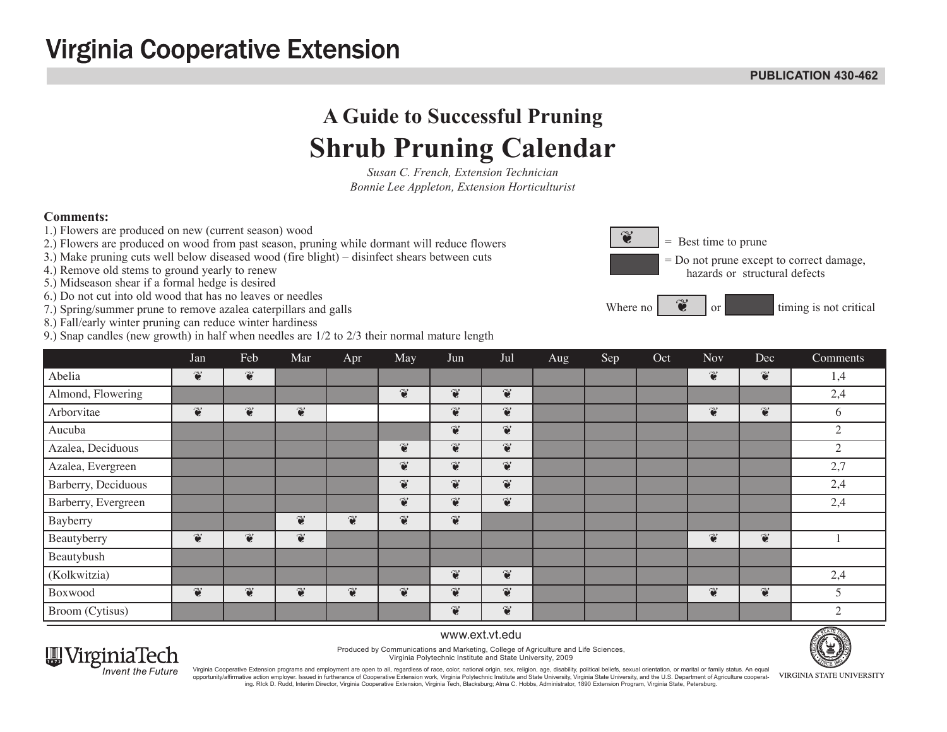## **Virginia Cooperative Extension**

#### **publication 430-462**

# **A Guide to Successful Pruning Shrub Pruning Calendar**

*Susan C. French, Extension Technician Bonnie Lee Appleton, Extension Horticulturist*

### **Comments:**

- 1.) Flowers are produced on new (current season) wood
- 2.) Flowers are produced on wood from past season, pruning while dormant will reduce flowers
- 3.) Make pruning cuts well below diseased wood (fire blight) disinfect shears between cuts
- 4.) Remove old stems to ground yearly to renew
- 5.) Midseason shear if a formal hedge is desired
- 6.) Do not cut into old wood that has no leaves or needles
- 7.) Spring/summer prune to remove azalea caterpillars and galls
- 8.) Fall/early winter pruning can reduce winter hardiness
- 9.) Snap candles (new growth) in half when needles are 1/2 to 2/3 their normal mature length



|                     | Jan                      | Feb                      | Mar                      | Apr                      | May                   | Jun                   | Jul                      | Aug | Sep | Oct | <b>Nov</b>            | Dec                      | Comments       |
|---------------------|--------------------------|--------------------------|--------------------------|--------------------------|-----------------------|-----------------------|--------------------------|-----|-----|-----|-----------------------|--------------------------|----------------|
| Abelia              | $\widetilde{\bullet}$    | $\widetilde{\bullet}$    |                          |                          |                       |                       |                          |     |     |     | $\widetilde{\bullet}$ | $\widetilde{\mathbf{c}}$ | 1,4            |
| Almond, Flowering   |                          |                          |                          |                          | $\widetilde{\bullet}$ | $\widetilde{\bullet}$ | $\widetilde{\mathbf{c}}$ |     |     |     |                       |                          | 2,4            |
| Arborvitae          | $\widetilde{\mathbf{c}}$ | $\widetilde{\mathbf{c}}$ | $\widetilde{\mathbf{c}}$ |                          |                       | $\widetilde{\bullet}$ | $\widetilde{\mathbf{c}}$ |     |     |     | $\widetilde{\bullet}$ | $\widetilde{\bullet}$    | 6              |
| Aucuba              |                          |                          |                          |                          |                       | $\widetilde{\bullet}$ | $\widetilde{\mathbf{c}}$ |     |     |     |                       |                          | $\mathfrak{2}$ |
| Azalea, Deciduous   |                          |                          |                          |                          | $\widetilde{\bullet}$ | $\widetilde{\bullet}$ | $\widetilde{\mathbf{c}}$ |     |     |     |                       |                          | $\overline{2}$ |
| Azalea, Evergreen   |                          |                          |                          |                          | $\widetilde{\bullet}$ | $\widetilde{\bullet}$ | $\widetilde{\mathbf{c}}$ |     |     |     |                       |                          | 2,7            |
| Barberry, Deciduous |                          |                          |                          |                          | $\widetilde{\bullet}$ | $\widetilde{\bullet}$ | $\widetilde{\mathbf{c}}$ |     |     |     |                       |                          | 2,4            |
| Barberry, Evergreen |                          |                          |                          |                          | $\widetilde{\bullet}$ | $\widetilde{\bullet}$ | $\widetilde{\mathbf{c}}$ |     |     |     |                       |                          | 2,4            |
| Bayberry            |                          |                          | $\widetilde{\mathbf{c}}$ | $\widetilde{\mathbf{c}}$ | $\widetilde{\bullet}$ | $\widetilde{\bullet}$ |                          |     |     |     |                       |                          |                |
| Beautyberry         | $\widetilde{\bullet}$    | $\widetilde{\bullet}$    | $\widetilde{\bullet}$    |                          |                       |                       |                          |     |     |     | $\widetilde{\bullet}$ | $\widetilde{\bullet}$    |                |
| Beautybush          |                          |                          |                          |                          |                       |                       |                          |     |     |     |                       |                          |                |
| (Kolkwitzia)        |                          |                          |                          |                          |                       | $\widetilde{\bullet}$ | $\widetilde{\mathbf{c}}$ |     |     |     |                       |                          | 2,4            |
| Boxwood             | $\widetilde{\bullet}$    | $\widetilde{\bullet}$    | $\widetilde{\bullet}$    | $\widetilde{\bullet}$    | $\widetilde{\bullet}$ | $\widetilde{\bullet}$ | $\widetilde{\mathbf{c}}$ |     |     |     | $\widetilde{\bullet}$ | $\widetilde{\bullet}$    | 5              |
| Broom (Cytisus)     |                          |                          |                          |                          |                       | $\widetilde{\bullet}$ | $\widetilde{\bullet}$    |     |     |     |                       |                          | $\bigcirc$     |



www.ext.vt.edu Produced by Communications and Marketing, College of Agriculture and Life Sciences,

Virginia Polytechnic Institute and State University, 2009



Virginia Cooperative Extension programs and employment are open to all, regardless of race, color, national origin, sex, religion, age, disability, political beliefs, sexual orientation, or marital or family status. An equ opportunity/affirmative action employer. Issued in furtherance of Cooperative Extension work, Virginia Polytechnic Institute and State University, Virginia State University, and the U.S. Department of Agriculture cooperating. RIck D. Rudd, Interim Director, Virginia Cooperative Extension, Virginia Tech, Blacksburg; Alma C. Hobbs, Administrator, 1890 Extension Program, Virginia State, Petersburg.

VIRGINIA STATE UNIVERSITY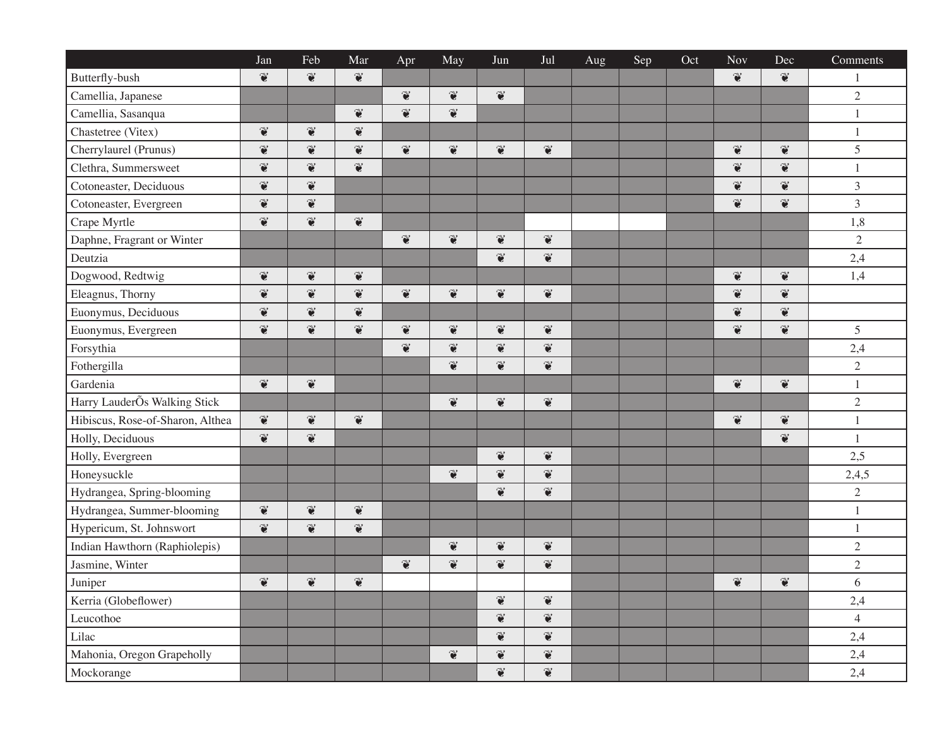|                                  | Jan                      | Feb                      | Mar                   | Apr                      | May                      | Jun                      | Jul                      | Aug | Sep | Oct | <b>Nov</b>               | Dec                      | Comments       |
|----------------------------------|--------------------------|--------------------------|-----------------------|--------------------------|--------------------------|--------------------------|--------------------------|-----|-----|-----|--------------------------|--------------------------|----------------|
| Butterfly-bush                   | $\widetilde{\bullet}$    | $\widetilde{\bullet}$    | $\widetilde{\bullet}$ |                          |                          |                          |                          |     |     |     | $\widetilde{\bullet}$    | $\widetilde{\bullet}$    | $\mathbf{1}$   |
| Camellia, Japanese               |                          |                          |                       | $\widetilde{\mathbf{c}}$ | $\widetilde{\bullet}$    | $\widetilde{\bullet}$    |                          |     |     |     |                          |                          | $\sqrt{2}$     |
| Camellia, Sasanqua               |                          |                          | $\widetilde{\bullet}$ | $\widetilde{\bullet}$    | $\widetilde{\mathbf{c}}$ |                          |                          |     |     |     |                          |                          | $\mathbf{1}$   |
| Chastetree (Vitex)               | $\widetilde{\bullet}$    | $\widetilde{\mathbf{c}}$ | $\widetilde{\bullet}$ |                          |                          |                          |                          |     |     |     |                          |                          | $\mathbf{1}$   |
| Cherrylaurel (Prunus)            | $\widetilde{\mathbf{c}}$ | $\widetilde{\bullet}$    | $\widetilde{\bullet}$ | $\widetilde{\bullet}$    | $\widetilde{\bullet}$    | $\widetilde{\bullet}$    | $\widetilde{\bullet}$    |     |     |     | $\widetilde{\bullet}$    | $\widetilde{\mathbf{c}}$ | 5              |
| Clethra, Summersweet             | $\widetilde{\bullet}$    | $\widetilde{\bullet}$    | $\widetilde{\bullet}$ |                          |                          |                          |                          |     |     |     | $\widetilde{\bullet}$    | $\widetilde{\bullet}$    | 1              |
| Cotoneaster, Deciduous           | $\widetilde{\mathbf{c}}$ | $\widetilde{\bullet}$    |                       |                          |                          |                          |                          |     |     |     | $\widetilde{\mathbf{c}}$ | $\widetilde{\bullet}$    | $\mathfrak{Z}$ |
| Cotoneaster, Evergreen           | $\widetilde{\mathbf{c}}$ | $\widetilde{\bullet}$    |                       |                          |                          |                          |                          |     |     |     | $\widetilde{\bullet}$    | $\widetilde{\bullet}$    | $\mathfrak{Z}$ |
| Crape Myrtle                     | $\widetilde{\mathbf{c}}$ | $\widetilde{\bullet}$    | $\widetilde{\bullet}$ |                          |                          |                          |                          |     |     |     |                          |                          | 1,8            |
| Daphne, Fragrant or Winter       |                          |                          |                       | $\widetilde{\bullet}$    | $\widetilde{\mathbf{c}}$ | $\widetilde{\mathbf{c}}$ | $\widetilde{\bullet}$    |     |     |     |                          |                          | $\sqrt{2}$     |
| Deutzia                          |                          |                          |                       |                          |                          | $\widetilde{\mathbf{c}}$ | $\widetilde{\bullet}$    |     |     |     |                          |                          | 2,4            |
| Dogwood, Redtwig                 | $\widetilde{\mathbf{e}}$ | $\widetilde{\mathbf{e}}$ | $\widetilde{\bullet}$ |                          |                          |                          |                          |     |     |     | $\mathbf{\widetilde{e}}$ | $\widetilde{\bullet}$    | 1,4            |
| Eleagnus, Thorny                 | $\widetilde{\bullet}$    | $\widetilde{\bullet}$    | $\widetilde{\bullet}$ | $\widetilde{\bullet}$    | $\widetilde{\bullet}$    | $\widetilde{\mathbf{c}}$ | $\widetilde{\bullet}$    |     |     |     | $\widetilde{\bullet}$    | $\widetilde{\bullet}$    |                |
| Euonymus, Deciduous              | $\widetilde{\mathbf{c}}$ | $\widetilde{\bullet}$    | $\widetilde{\bullet}$ |                          |                          |                          |                          |     |     |     | $\widetilde{\mathbf{c}}$ | $\widetilde{\bullet}$    |                |
| Euonymus, Evergreen              | $\widetilde{\mathbf{c}}$ | $\widetilde{\bullet}$    | $\widetilde{\bullet}$ | $\widetilde{\mathbf{c}}$ | $\widetilde{\mathbf{c}}$ | $\widetilde{\bullet}$    | $\widetilde{\bullet}$    |     |     |     | $\widetilde{\mathbf{c}}$ | $\widetilde{\bullet}$    | 5              |
| Forsythia                        |                          |                          |                       | $\widetilde{\mathbf{c}}$ | $\widetilde{\mathbf{c}}$ | $\widetilde{\mathbf{c}}$ | $\widetilde{\bullet}$    |     |     |     |                          |                          | 2,4            |
| Fothergilla                      |                          |                          |                       |                          | $\widetilde{\bullet}$    | $\widetilde{\bullet}$    | $\widetilde{\bullet}$    |     |     |     |                          |                          | $\sqrt{2}$     |
| Gardenia                         | $\widetilde{\bullet}$    | $\widetilde{\bullet}$    |                       |                          |                          |                          |                          |     |     |     | $\widetilde{\bullet}$    | $\widetilde{\bullet}$    | $\,1\,$        |
| Harry LauderÕs Walking Stick     |                          |                          |                       |                          | $\widetilde{\mathbf{c}}$ | $\widetilde{\bullet}$    | $\widetilde{\bullet}$    |     |     |     |                          |                          | $\sqrt{2}$     |
| Hibiscus, Rose-of-Sharon, Althea | $\widetilde{\bullet}$    | $\widetilde{\bullet}$    | $\widetilde{\bullet}$ |                          |                          |                          |                          |     |     |     | $\bullet$                | $\mathbf{\widetilde{e}}$ | $\mathbf{1}$   |
| Holly, Deciduous                 | $\widetilde{\bullet}$    | $\widetilde{\bullet}$    |                       |                          |                          |                          |                          |     |     |     |                          | $\widetilde{\bullet}$    | $\mathbf{1}$   |
| Holly, Evergreen                 |                          |                          |                       |                          |                          | $\widetilde{\bullet}$    | $\widetilde{\bullet}$    |     |     |     |                          |                          | 2,5            |
| Honeysuckle                      |                          |                          |                       |                          | $\widetilde{\bullet}$    | $\widetilde{\bullet}$    | $\widetilde{\mathbf{c}}$ |     |     |     |                          |                          | 2,4,5          |
| Hydrangea, Spring-blooming       |                          |                          |                       |                          |                          | $\widetilde{\bullet}$    | $\widetilde{\bullet}$    |     |     |     |                          |                          | $\sqrt{2}$     |
| Hydrangea, Summer-blooming       | $\widetilde{\bullet}$    | $\widetilde{\bullet}$    | $\widetilde{\bullet}$ |                          |                          |                          |                          |     |     |     |                          |                          | $\mathbf{1}$   |
| Hypericum, St. Johnswort         | $\widetilde{\bullet}$    | $\widetilde{\bullet}$    | $\widetilde{\bullet}$ |                          |                          |                          |                          |     |     |     |                          |                          | $\mathbf{1}$   |
| Indian Hawthorn (Raphiolepis)    |                          |                          |                       |                          | $\widetilde{\mathbf{c}}$ | $\widetilde{\bullet}$    | $\widetilde{\bullet}$    |     |     |     |                          |                          | $\sqrt{2}$     |
| Jasmine, Winter                  |                          |                          |                       | $\widetilde{\bullet}$    | $\widetilde{\mathbf{c}}$ | $\widetilde{\mathbf{c}}$ | $\widetilde{\bullet}$    |     |     |     |                          |                          | $\sqrt{2}$     |
| Juniper                          | $\widetilde{\mathbf{c}}$ | $\widetilde{\bullet}$    | $\widetilde{\bullet}$ |                          |                          |                          |                          |     |     |     | $\widetilde{\bullet}$    | $\widetilde{\bullet}$    | 6              |
| Kerria (Globeflower)             |                          |                          |                       |                          |                          | $\widetilde{\bullet}$    | $\widetilde{\bullet}$    |     |     |     |                          |                          | 2,4            |
| Leucothoe                        |                          |                          |                       |                          |                          | $\widetilde{\mathbf{c}}$ | $\widetilde{\bullet}$    |     |     |     |                          |                          | $\overline{4}$ |
| Lilac                            |                          |                          |                       |                          |                          | $\widetilde{\bullet}$    | $\widetilde{\bullet}$    |     |     |     |                          |                          | 2,4            |
| Mahonia, Oregon Grapeholly       |                          |                          |                       |                          | $\widetilde{\bullet}$    | $\widetilde{\mathbf{c}}$ | $\widetilde{\bullet}$    |     |     |     |                          |                          | 2,4            |
| Mockorange                       |                          |                          |                       |                          |                          | $\widetilde{\mathbf{C}}$ | $\widetilde{\bullet}$    |     |     |     |                          |                          | 2,4            |